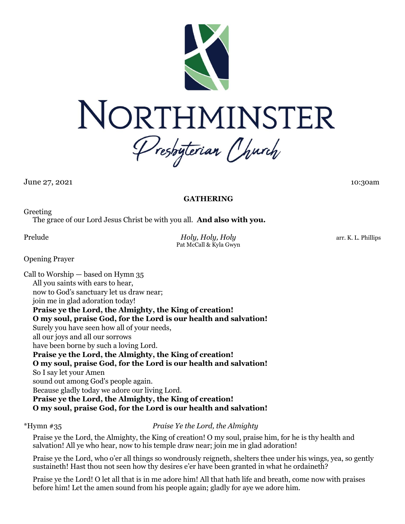

June 27, 2021 10:30am 10:30am 10:30am 10:30am 10:30am 10:30am 10:30am 10:30am 10:30am 10:30am 10:30am 10:30am 10:30am 10:30am 10:30am 10:30am 10:30am 10:30am 10:30am 10:30am 10:30am 10:30am 10:30am 10:30am 10:30am 10:30am

## **GATHERING**

Greeting

The grace of our Lord Jesus Christ be with you all. **And also with you.**

Prelude *Holy, Holy, Holy* arr. K. L. Phillips Pat McCall & Kyla Gwyn

Opening Prayer

Call to Worship — based on Hymn 35 All you saints with ears to hear, now to God's sanctuary let us draw near; join me in glad adoration today! **Praise ye the Lord, the Almighty, the King of creation! O my soul, praise God, for the Lord is our health and salvation!** Surely you have seen how all of your needs, all our joys and all our sorrows have been borne by such a loving Lord. **Praise ye the Lord, the Almighty, the King of creation! O my soul, praise God, for the Lord is our health and salvation!** So I say let your Amen sound out among God's people again. Because gladly today we adore our living Lord. **Praise ye the Lord, the Almighty, the King of creation! O my soul, praise God, for the Lord is our health and salvation!**

\*Hymn #35 *Praise Ye the Lord, the Almighty*

Praise ye the Lord, the Almighty, the King of creation! O my soul, praise him, for he is thy health and salvation! All ye who hear, now to his temple draw near; join me in glad adoration!

Praise ye the Lord, who o'er all things so wondrously reigneth, shelters thee under his wings, yea, so gently sustaineth! Hast thou not seen how thy desires e'er have been granted in what he ordaineth?

Praise ye the Lord! O let all that is in me adore him! All that hath life and breath, come now with praises before him! Let the amen sound from his people again; gladly for aye we adore him.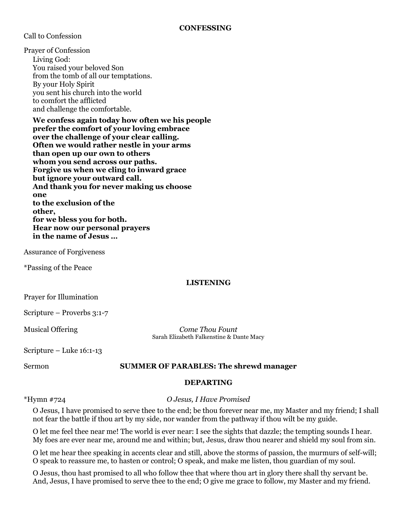Call to Confession

Prayer of Confession Living God: You raised your beloved Son from the tomb of all our temptations. By your Holy Spirit you sent his church into the world to comfort the afflicted and challenge the comfortable.

**We confess again today how often we his people prefer the comfort of your loving embrace over the challenge of your clear calling. Often we would rather nestle in your arms than open up our own to others whom you send across our paths. Forgive us when we cling to inward grace but ignore your outward call. And thank you for never making us choose one to the exclusion of the other, for we bless you for both. Hear now our personal prayers in the name of Jesus …**

Assurance of Forgiveness

\*Passing of the Peace

#### **LISTENING**

Prayer for Illumination

Scripture – Proverbs 3:1-7

Musical Offering *Come Thou Fount* Sarah Elizabeth Falkenstine & Dante Macy

Scripture – Luke 16:1-13

#### Sermon **SUMMER OF PARABLES: The shrewd manager**

#### **DEPARTING**

\*Hymn #724 *O Jesus, I Have Promised*

O Jesus, I have promised to serve thee to the end; be thou forever near me, my Master and my friend; I shall not fear the battle if thou art by my side, nor wander from the pathway if thou wilt be my guide.

O let me feel thee near me! The world is ever near: I see the sights that dazzle; the tempting sounds I hear. My foes are ever near me, around me and within; but, Jesus, draw thou nearer and shield my soul from sin.

O let me hear thee speaking in accents clear and still, above the storms of passion, the murmurs of self-will; O speak to reassure me, to hasten or control; O speak, and make me listen, thou guardian of my soul.

O Jesus, thou hast promised to all who follow thee that where thou art in glory there shall thy servant be. And, Jesus, I have promised to serve thee to the end; O give me grace to follow, my Master and my friend.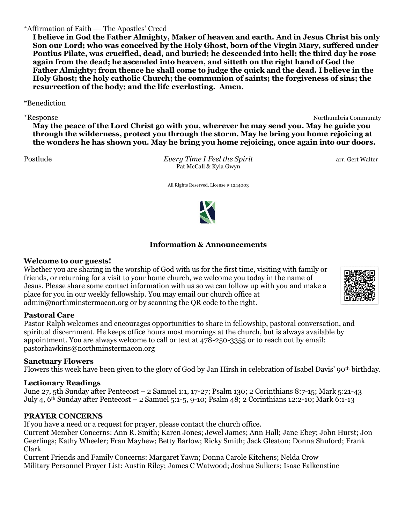## \*Affirmation of Faith — The Apostles' Creed

**I believe in God the Father Almighty, Maker of heaven and earth. And in Jesus Christ his only Son our Lord; who was conceived by the Holy Ghost, born of the Virgin Mary, suffered under Pontius Pilate, was crucified, dead, and buried; he descended into hell; the third day he rose again from the dead; he ascended into heaven, and sitteth on the right hand of God the Father Almighty; from thence he shall come to judge the quick and the dead. I believe in the Holy Ghost; the holy catholic Church; the communion of saints; the forgiveness of sins; the resurrection of the body; and the life everlasting. Amen.**

\*Benediction

\*Response Northumbria Community **May the peace of the Lord Christ go with you, wherever he may send you. May he guide you through the wilderness, protect you through the storm. May he bring you home rejoicing at the wonders he has shown you. May he bring you home rejoicing, once again into our doors.**

Postlude *Every Time I Feel the Spirit* arr. Gert Walter Pat McCall & Kyla Gwyn

All Rights Reserved, License # 1244003



# **Information & Announcements**

#### **Welcome to our guests!**

Whether you are sharing in the worship of God with us for the first time, visiting with family or friends, or returning for a visit to your home church, we welcome you today in the name of Jesus. Please share some contact information with us so we can follow up with you and make a place for you in our weekly fellowship. You may email our church office at admin@northminstermacon.org or by scanning the QR code to the right.

## **Pastoral Care**

Pastor Ralph welcomes and encourages opportunities to share in fellowship, pastoral conversation, and spiritual discernment. He keeps office hours most mornings at the church, but is always available by appointment. You are always welcome to call or text at 478-250-3355 or to reach out by email: pastorhawkins@northminstermacon.org

## **Sanctuary Flowers**

Flowers this week have been given to the glory of God by Jan Hirsh in celebration of Isabel Davis' 90th birthday.

## **Lectionary Readings**

June 27, 5th Sunday after Pentecost – 2 Samuel 1:1, 17-27; Psalm 130; 2 Corinthians 8:7-15; Mark 5:21-43 July 4, 6th Sunday after Pentecost – 2 Samuel 5:1-5, 9-10; Psalm 48; 2 Corinthians 12:2-10; Mark 6:1-13

#### **PRAYER CONCERNS**

If you have a need or a request for prayer, please contact the church office.

Current Member Concerns: Ann R. Smith; Karen Jones; Jewel James; Ann Hall; Jane Ebey; John Hurst; Jon Geerlings; Kathy Wheeler; Fran Mayhew; Betty Barlow; Ricky Smith; Jack Gleaton; Donna Shuford; Frank Clark

Current Friends and Family Concerns: Margaret Yawn; Donna Carole Kitchens; Nelda Crow Military Personnel Prayer List: Austin Riley; James C Watwood; Joshua Sulkers; Isaac Falkenstine